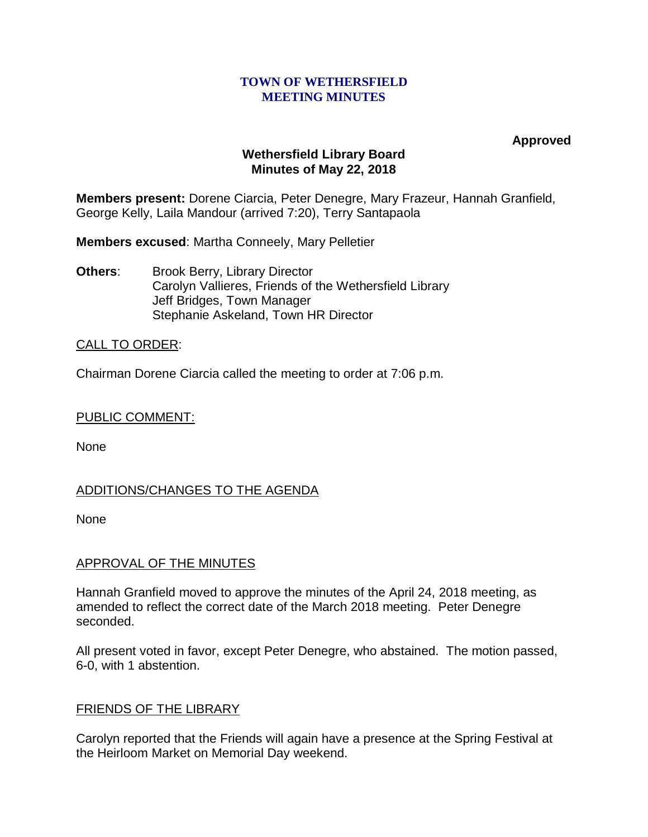#### **TOWN OF WETHERSFIELD MEETING MINUTES**

**Approved**

## **Wethersfield Library Board Minutes of May 22, 2018**

**Members present:** Dorene Ciarcia, Peter Denegre, Mary Frazeur, Hannah Granfield, George Kelly, Laila Mandour (arrived 7:20), Terry Santapaola

**Members excused**: Martha Conneely, Mary Pelletier

**Others:** Brook Berry, Library Director Carolyn Vallieres, Friends of the Wethersfield Library Jeff Bridges, Town Manager Stephanie Askeland, Town HR Director

# CALL TO ORDER:

Chairman Dorene Ciarcia called the meeting to order at 7:06 p.m.

## PUBLIC COMMENT:

None

# ADDITIONS/CHANGES TO THE AGENDA

None

# APPROVAL OF THE MINUTES

Hannah Granfield moved to approve the minutes of the April 24, 2018 meeting, as amended to reflect the correct date of the March 2018 meeting. Peter Denegre seconded.

All present voted in favor, except Peter Denegre, who abstained. The motion passed, 6-0, with 1 abstention.

## FRIENDS OF THE LIBRARY

Carolyn reported that the Friends will again have a presence at the Spring Festival at the Heirloom Market on Memorial Day weekend.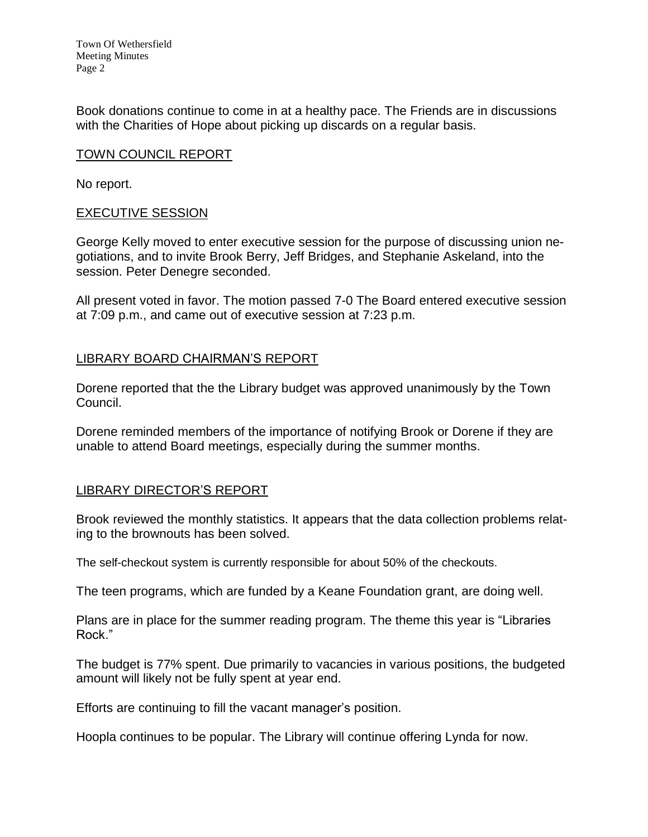Town Of Wethersfield Meeting Minutes Page 2

Book donations continue to come in at a healthy pace. The Friends are in discussions with the Charities of Hope about picking up discards on a regular basis.

### TOWN COUNCIL REPORT

No report.

#### EXECUTIVE SESSION

George Kelly moved to enter executive session for the purpose of discussing union negotiations, and to invite Brook Berry, Jeff Bridges, and Stephanie Askeland, into the session. Peter Denegre seconded.

All present voted in favor. The motion passed 7-0 The Board entered executive session at 7:09 p.m., and came out of executive session at 7:23 p.m.

## LIBRARY BOARD CHAIRMAN'S REPORT

Dorene reported that the the Library budget was approved unanimously by the Town Council.

Dorene reminded members of the importance of notifying Brook or Dorene if they are unable to attend Board meetings, especially during the summer months.

## LIBRARY DIRECTOR'S REPORT

Brook reviewed the monthly statistics. It appears that the data collection problems relating to the brownouts has been solved.

The self-checkout system is currently responsible for about 50% of the checkouts.

The teen programs, which are funded by a Keane Foundation grant, are doing well.

Plans are in place for the summer reading program. The theme this year is "Libraries Rock."

The budget is 77% spent. Due primarily to vacancies in various positions, the budgeted amount will likely not be fully spent at year end.

Efforts are continuing to fill the vacant manager's position.

Hoopla continues to be popular. The Library will continue offering Lynda for now.